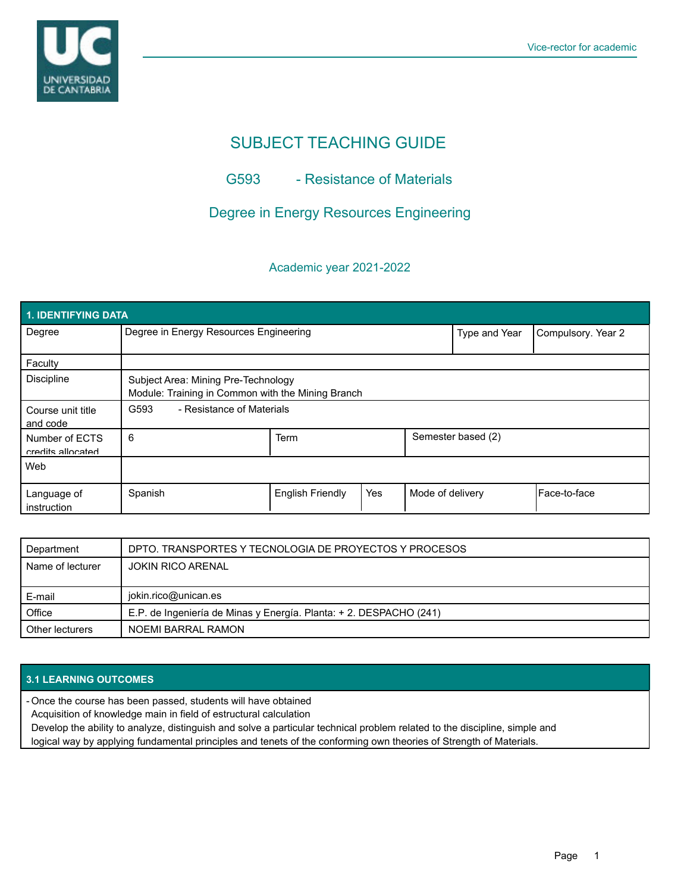

# SUBJECT TEACHING GUIDE

## G593 - Resistance of Materials

# Degree in Energy Resources Engineering

### Academic year 2021-2022

| <b>1. IDENTIFYING DATA</b>          |                                                                                          |                         |     |                    |                    |                      |  |  |  |
|-------------------------------------|------------------------------------------------------------------------------------------|-------------------------|-----|--------------------|--------------------|----------------------|--|--|--|
| Degree                              | Degree in Energy Resources Engineering                                                   |                         |     | Type and Year      | Compulsory. Year 2 |                      |  |  |  |
| Faculty                             |                                                                                          |                         |     |                    |                    |                      |  |  |  |
| <b>Discipline</b>                   | Subject Area: Mining Pre-Technology<br>Module: Training in Common with the Mining Branch |                         |     |                    |                    |                      |  |  |  |
| Course unit title<br>and code       | - Resistance of Materials<br>G593                                                        |                         |     |                    |                    |                      |  |  |  |
| Number of ECTS<br>credits allocated | 6                                                                                        | Term                    |     | Semester based (2) |                    |                      |  |  |  |
| Web                                 |                                                                                          |                         |     |                    |                    |                      |  |  |  |
| Language of<br>instruction          | Spanish                                                                                  | <b>English Friendly</b> | Yes | Mode of delivery   |                    | <b>IFace-to-face</b> |  |  |  |

| Department       | DPTO. TRANSPORTES Y TECNOLOGIA DE PROYECTOS Y PROCESOS             |  |  |
|------------------|--------------------------------------------------------------------|--|--|
| Name of lecturer | <b>JOKIN RICO ARENAL</b>                                           |  |  |
|                  |                                                                    |  |  |
|                  |                                                                    |  |  |
| E-mail           | jokin.rico@unican.es                                               |  |  |
| Office           | E.P. de Ingeniería de Minas y Energía. Planta: + 2. DESPACHO (241) |  |  |

#### **3.1 LEARNING OUTCOMES**

Once the course has been passed, students will have obtained -

Acquisition of knowledge main in field of estructural calculation

Develop the ability to analyze, distinguish and solve a particular technical problem related to the discipline, simple and logical way by applying fundamental principles and tenets of the conforming own theories of Strength of Materials.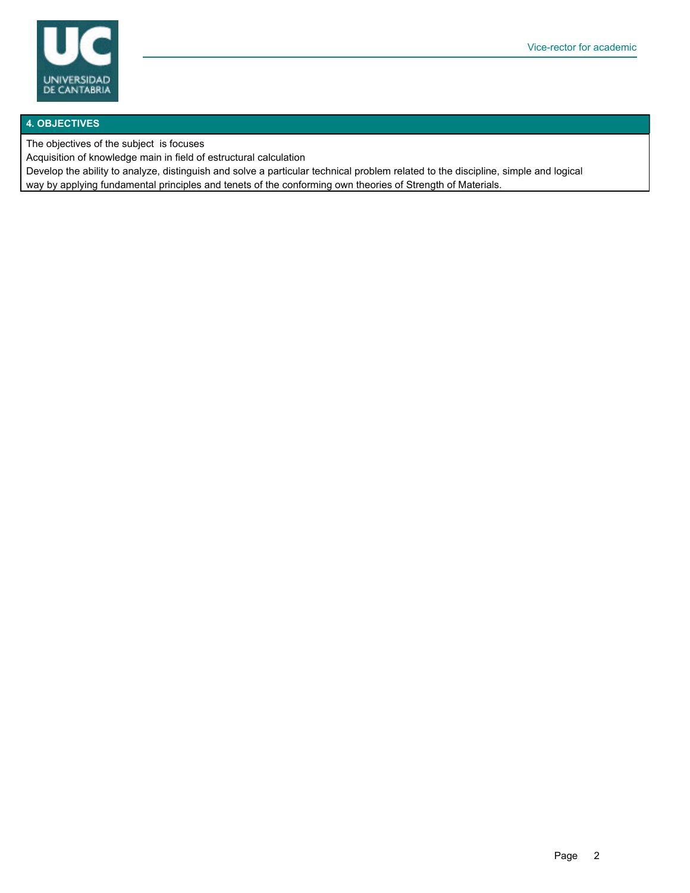

#### **4. OBJECTIVES**

The objectives of the subject is focuses

Acquisition of knowledge main in field of estructural calculation

Develop the ability to analyze, distinguish and solve a particular technical problem related to the discipline, simple and logical way by applying fundamental principles and tenets of the conforming own theories of Strength of Materials.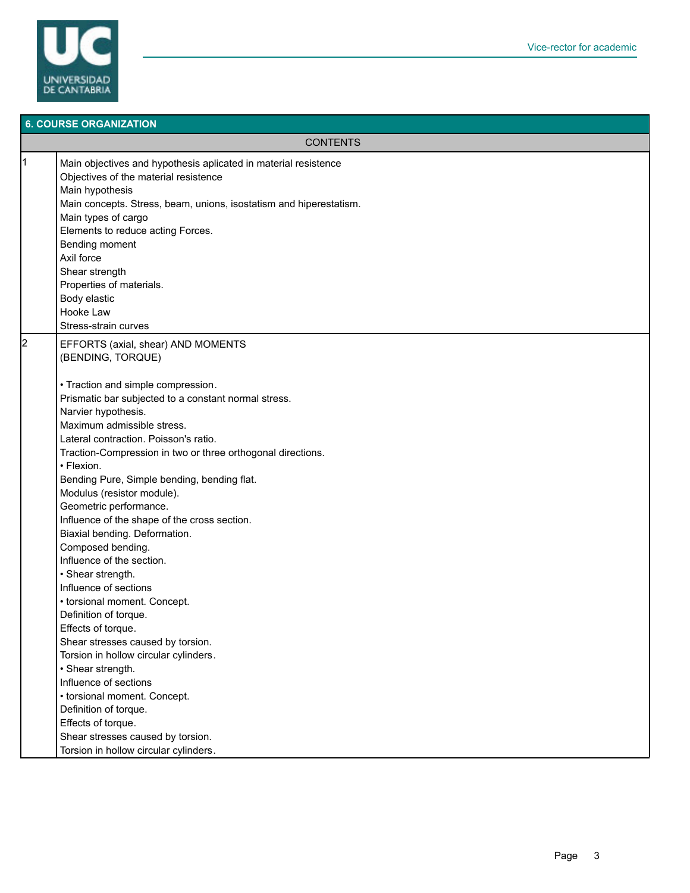

### **6. COURSE ORGANIZATION CONTENTS** 1 Main objectives and hypothesis aplicated in material resistence Objectives of the material resistence Main hypothesis Main concepts. Stress, beam, unions, isostatism and hiperestatism. Main types of cargo Elements to reduce acting Forces. Bending moment Axil force Shear strength Properties of materials. Body elastic Hooke Law Stress-strain curves 2 EFFORTS (axial, shear) AND MOMENTS (BENDING, TORQUE) • Traction and simple compression. Prismatic bar subjected to a constant normal stress. Narvier hypothesis. Maximum admissible stress. Lateral contraction. Poisson's ratio. Traction-Compression in two or three orthogonal directions. • Flexion. Bending Pure, Simple bending, bending flat. Modulus (resistor module). Geometric performance. Influence of the shape of the cross section. Biaxial bending. Deformation. Composed bending. Influence of the section. • Shear strength. Influence of sections • torsional moment. Concept. Definition of torque. Effects of torque. Shear stresses caused by torsion. Torsion in hollow circular cylinders. • Shear strength. Influence of sections • torsional moment. Concept. Definition of torque. Effects of torque. Shear stresses caused by torsion. Torsion in hollow circular cylinders.